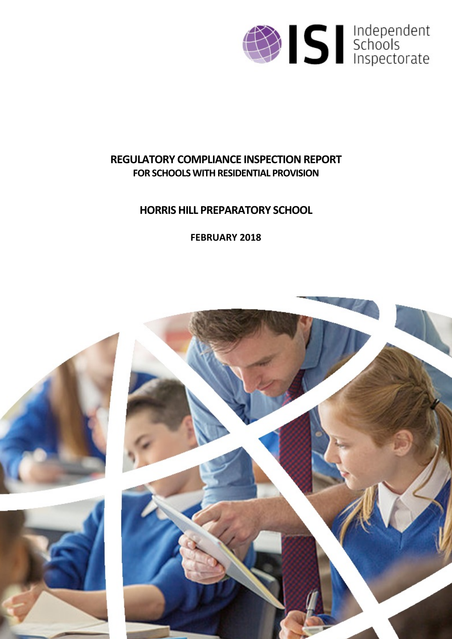

# **REGULATORY COMPLIANCE INSPECTION REPORT FOR SCHOOLS WITH RESIDENTIAL PROVISION**

# **HORRIS HILL PREPARATORY SCHOOL**

**FEBRUARY 2018**

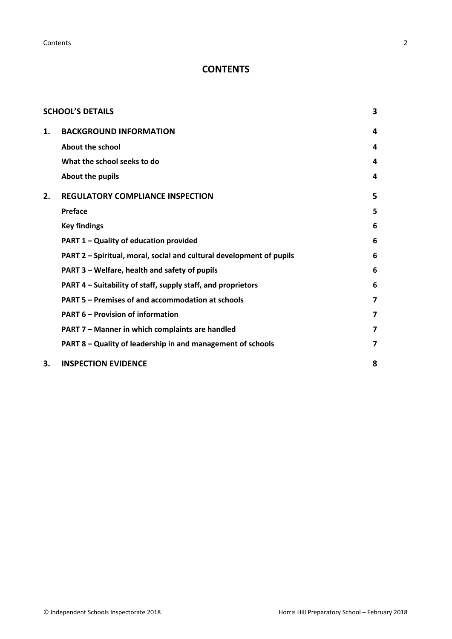**Contents** 2

## **CONTENTS**

|    | <b>SCHOOL'S DETAILS</b>                                              | 3 |
|----|----------------------------------------------------------------------|---|
| 1. | <b>BACKGROUND INFORMATION</b>                                        | 4 |
|    | <b>About the school</b>                                              | 4 |
|    | What the school seeks to do                                          | 4 |
|    | About the pupils                                                     | 4 |
| 2. | <b>REGULATORY COMPLIANCE INSPECTION</b>                              | 5 |
|    | Preface                                                              | 5 |
|    | <b>Key findings</b>                                                  | 6 |
|    | PART 1 - Quality of education provided                               | 6 |
|    | PART 2 - Spiritual, moral, social and cultural development of pupils | 6 |
|    | PART 3 – Welfare, health and safety of pupils                        | 6 |
|    | PART 4 – Suitability of staff, supply staff, and proprietors         | 6 |
|    | PART 5 – Premises of and accommodation at schools                    | 7 |
|    | <b>PART 6 - Provision of information</b>                             | 7 |
|    | PART 7 - Manner in which complaints are handled                      | 7 |
|    | PART 8 - Quality of leadership in and management of schools          | 7 |
| 3. | <b>INSPECTION EVIDENCE</b>                                           | 8 |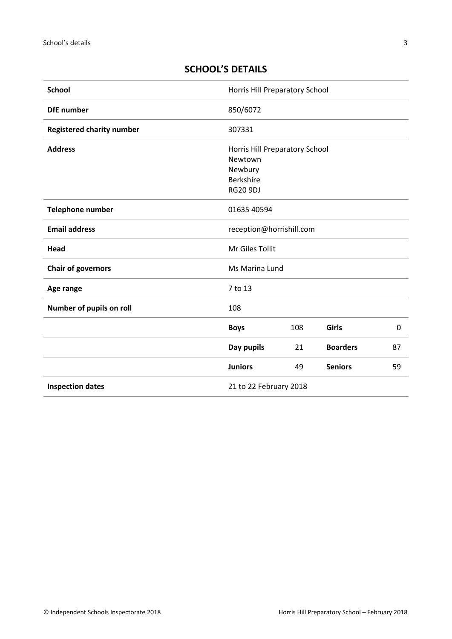## <span id="page-2-0"></span>**SCHOOL'S DETAILS**

| <b>School</b>                    | Horris Hill Preparatory School                                                              |     |                 |                  |
|----------------------------------|---------------------------------------------------------------------------------------------|-----|-----------------|------------------|
| <b>DfE</b> number                | 850/6072                                                                                    |     |                 |                  |
| <b>Registered charity number</b> | 307331                                                                                      |     |                 |                  |
| <b>Address</b>                   | Horris Hill Preparatory School<br>Newtown<br>Newbury<br><b>Berkshire</b><br><b>RG20 9DJ</b> |     |                 |                  |
| Telephone number                 | 01635 40594                                                                                 |     |                 |                  |
| <b>Email address</b>             | reception@horrishill.com                                                                    |     |                 |                  |
| Head                             | Mr Giles Tollit                                                                             |     |                 |                  |
| <b>Chair of governors</b>        | Ms Marina Lund                                                                              |     |                 |                  |
| Age range                        | 7 to 13                                                                                     |     |                 |                  |
| Number of pupils on roll         | 108                                                                                         |     |                 |                  |
|                                  | <b>Boys</b>                                                                                 | 108 | Girls           | $\boldsymbol{0}$ |
|                                  | Day pupils                                                                                  | 21  | <b>Boarders</b> | 87               |
|                                  | <b>Juniors</b>                                                                              | 49  | <b>Seniors</b>  | 59               |
| <b>Inspection dates</b>          | 21 to 22 February 2018                                                                      |     |                 |                  |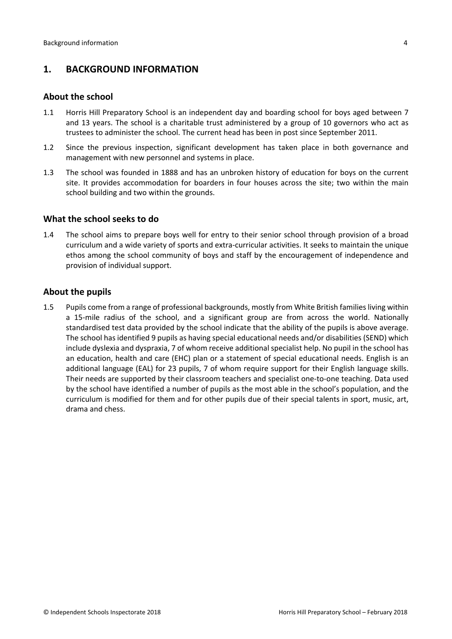## <span id="page-3-0"></span>**1. BACKGROUND INFORMATION**

#### <span id="page-3-1"></span>**About the school**

- 1.1 Horris Hill Preparatory School is an independent day and boarding school for boys aged between 7 and 13 years. The school is a charitable trust administered by a group of 10 governors who act as trustees to administer the school. The current head has been in post since September 2011.
- 1.2 Since the previous inspection, significant development has taken place in both governance and management with new personnel and systems in place.
- 1.3 The school was founded in 1888 and has an unbroken history of education for boys on the current site. It provides accommodation for boarders in four houses across the site; two within the main school building and two within the grounds.

#### <span id="page-3-2"></span>**What the school seeks to do**

1.4 The school aims to prepare boys well for entry to their senior school through provision of a broad curriculum and a wide variety of sports and extra-curricular activities. It seeks to maintain the unique ethos among the school community of boys and staff by the encouragement of independence and provision of individual support.

#### <span id="page-3-3"></span>**About the pupils**

1.5 Pupils come from a range of professional backgrounds, mostly from White British families living within a 15-mile radius of the school, and a significant group are from across the world. Nationally standardised test data provided by the school indicate that the ability of the pupils is above average. The school has identified 9 pupils as having special educational needs and/or disabilities (SEND) which include dyslexia and dyspraxia, 7 of whom receive additional specialist help. No pupil in the school has an education, health and care (EHC) plan or a statement of special educational needs. English is an additional language (EAL) for 23 pupils, 7 of whom require support for their English language skills. Their needs are supported by their classroom teachers and specialist one-to-one teaching. Data used by the school have identified a number of pupils as the most able in the school's population, and the curriculum is modified for them and for other pupils due of their special talents in sport, music, art, drama and chess.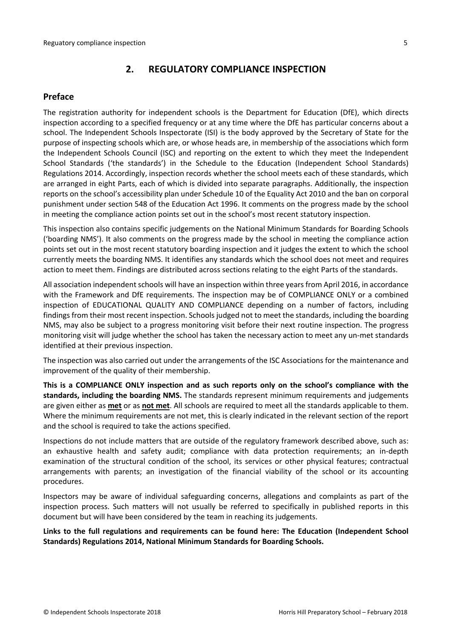## <span id="page-4-0"></span>**2. REGULATORY COMPLIANCE INSPECTION**

## <span id="page-4-1"></span>**Preface**

The registration authority for independent schools is the Department for Education (DfE), which directs inspection according to a specified frequency or at any time where the DfE has particular concerns about a school. The Independent Schools Inspectorate (ISI) is the body approved by the Secretary of State for the purpose of inspecting schools which are, or whose heads are, in membership of the associations which form the Independent Schools Council (ISC) and reporting on the extent to which they meet the Independent School Standards ('the standards') in the Schedule to the Education (Independent School Standards) Regulations 2014. Accordingly, inspection records whether the school meets each of these standards, which are arranged in eight Parts, each of which is divided into separate paragraphs. Additionally, the inspection reports on the school's accessibility plan under Schedule 10 of the Equality Act 2010 and the ban on corporal punishment under section 548 of the Education Act 1996. It comments on the progress made by the school in meeting the compliance action points set out in the school's most recent statutory inspection.

This inspection also contains specific judgements on the National Minimum Standards for Boarding Schools ('boarding NMS'). It also comments on the progress made by the school in meeting the compliance action points set out in the most recent statutory boarding inspection and it judges the extent to which the school currently meets the boarding NMS. It identifies any standards which the school does not meet and requires action to meet them. Findings are distributed across sections relating to the eight Parts of the standards.

All association independent schools will have an inspection within three yearsfrom April 2016, in accordance with the Framework and DfE requirements. The inspection may be of COMPLIANCE ONLY or a combined inspection of EDUCATIONAL QUALITY AND COMPLIANCE depending on a number of factors, including findings from their most recent inspection. Schools judged not to meet the standards, including the boarding NMS, may also be subject to a progress monitoring visit before their next routine inspection. The progress monitoring visit will judge whether the school has taken the necessary action to meet any un-met standards identified at their previous inspection.

The inspection was also carried out under the arrangements of the ISC Associations for the maintenance and improvement of the quality of their membership.

**This is a COMPLIANCE ONLY inspection and as such reports only on the school's compliance with the standards, including the boarding NMS.** The standards represent minimum requirements and judgements are given either as **met** or as **not met**. All schools are required to meet all the standards applicable to them. Where the minimum requirements are not met, this is clearly indicated in the relevant section of the report and the school is required to take the actions specified.

Inspections do not include matters that are outside of the regulatory framework described above, such as: an exhaustive health and safety audit; compliance with data protection requirements; an in-depth examination of the structural condition of the school, its services or other physical features; contractual arrangements with parents; an investigation of the financial viability of the school or its accounting procedures.

Inspectors may be aware of individual safeguarding concerns, allegations and complaints as part of the inspection process. Such matters will not usually be referred to specifically in published reports in this document but will have been considered by the team in reaching its judgements.

**Links to the full regulations and requirements can be found here: The Education (Independent School Standards) Regulations 2014, National Minimum Standards for Boarding Schools.**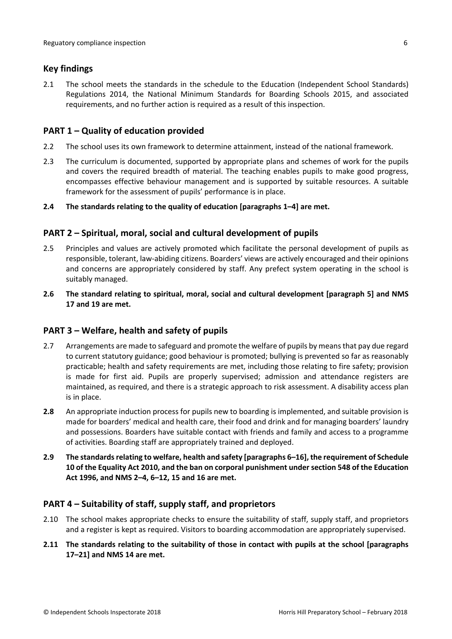#### <span id="page-5-0"></span>**Key findings**

2.1 The school meets the standards in the schedule to the Education (Independent School Standards) Regulations 2014, the National Minimum Standards for Boarding Schools 2015, and associated requirements, and no further action is required as a result of this inspection.

#### <span id="page-5-1"></span>**PART 1 – Quality of education provided**

- 2.2 The school uses its own framework to determine attainment, instead of the national framework.
- 2.3 The curriculum is documented, supported by appropriate plans and schemes of work for the pupils and covers the required breadth of material. The teaching enables pupils to make good progress, encompasses effective behaviour management and is supported by suitable resources. A suitable framework for the assessment of pupils' performance is in place.
- **2.4 The standards relating to the quality of education [paragraphs 1–4] are met.**

## <span id="page-5-2"></span>**PART 2 – Spiritual, moral, social and cultural development of pupils**

- 2.5 Principles and values are actively promoted which facilitate the personal development of pupils as responsible, tolerant, law-abiding citizens. Boarders' views are actively encouraged and their opinions and concerns are appropriately considered by staff. Any prefect system operating in the school is suitably managed.
- **2.6 The standard relating to spiritual, moral, social and cultural development [paragraph 5] and NMS 17 and 19 are met.**

#### <span id="page-5-3"></span>**PART 3 – Welfare, health and safety of pupils**

- 2.7 Arrangements are made to safeguard and promote the welfare of pupils by means that pay due regard to current statutory guidance; good behaviour is promoted; bullying is prevented so far as reasonably practicable; health and safety requirements are met, including those relating to fire safety; provision is made for first aid. Pupils are properly supervised; admission and attendance registers are maintained, as required, and there is a strategic approach to risk assessment. A disability access plan is in place.
- **2.8** An appropriate induction process for pupils new to boarding is implemented, and suitable provision is made for boarders' medical and health care, their food and drink and for managing boarders' laundry and possessions. Boarders have suitable contact with friends and family and access to a programme of activities. Boarding staff are appropriately trained and deployed.
- **2.9 The standardsrelating to welfare, health and safety [paragraphs 6–16], the requirement of Schedule 10 of the Equality Act 2010, and the ban on corporal punishment undersection 548 of the Education Act 1996, and NMS 2–4, 6–12, 15 and 16 are met.**

## <span id="page-5-4"></span>**PART 4 – Suitability of staff, supply staff, and proprietors**

- 2.10 The school makes appropriate checks to ensure the suitability of staff, supply staff, and proprietors and a register is kept as required. Visitors to boarding accommodation are appropriately supervised.
- **2.11 The standards relating to the suitability of those in contact with pupils at the school [paragraphs 17–21] and NMS 14 are met.**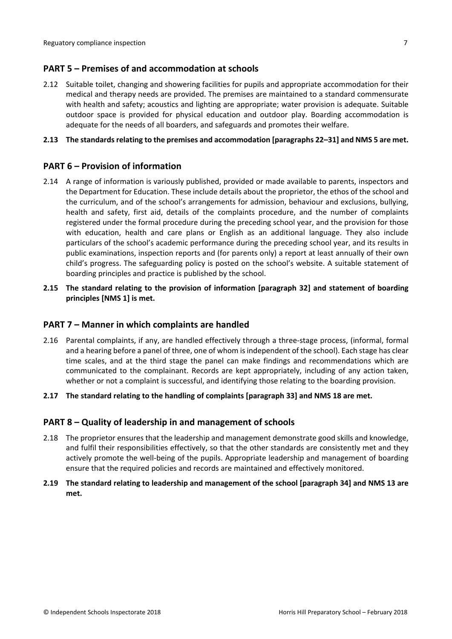## <span id="page-6-0"></span>**PART 5 – Premises of and accommodation at schools**

2.12 Suitable toilet, changing and showering facilities for pupils and appropriate accommodation for their medical and therapy needs are provided. The premises are maintained to a standard commensurate with health and safety; acoustics and lighting are appropriate; water provision is adequate. Suitable outdoor space is provided for physical education and outdoor play. Boarding accommodation is adequate for the needs of all boarders, and safeguards and promotes their welfare.

#### **2.13 The standardsrelating to the premises and accommodation [paragraphs 22–31] and NMS 5 are met.**

## <span id="page-6-1"></span>**PART 6 – Provision of information**

- 2.14 A range of information is variously published, provided or made available to parents, inspectors and the Department for Education. These include details about the proprietor, the ethos of the school and the curriculum, and of the school's arrangements for admission, behaviour and exclusions, bullying, health and safety, first aid, details of the complaints procedure, and the number of complaints registered under the formal procedure during the preceding school year, and the provision for those with education, health and care plans or English as an additional language. They also include particulars of the school's academic performance during the preceding school year, and its results in public examinations, inspection reports and (for parents only) a report at least annually of their own child's progress. The safeguarding policy is posted on the school's website. A suitable statement of boarding principles and practice is published by the school.
- **2.15 The standard relating to the provision of information [paragraph 32] and statement of boarding principles [NMS 1] is met.**

## <span id="page-6-2"></span>**PART 7 – Manner in which complaints are handled**

- 2.16 Parental complaints, if any, are handled effectively through a three-stage process, (informal, formal and a hearing before a panel of three, one of whom isindependent of the school). Each stage has clear time scales, and at the third stage the panel can make findings and recommendations which are communicated to the complainant. Records are kept appropriately, including of any action taken, whether or not a complaint is successful, and identifying those relating to the boarding provision.
- **2.17 The standard relating to the handling of complaints [paragraph 33] and NMS 18 are met.**

## <span id="page-6-3"></span>**PART 8 – Quality of leadership in and management of schools**

- 2.18 The proprietor ensures that the leadership and management demonstrate good skills and knowledge, and fulfil their responsibilities effectively, so that the other standards are consistently met and they actively promote the well-being of the pupils. Appropriate leadership and management of boarding ensure that the required policies and records are maintained and effectively monitored.
- **2.19 The standard relating to leadership and management of the school [paragraph 34] and NMS 13 are met.**